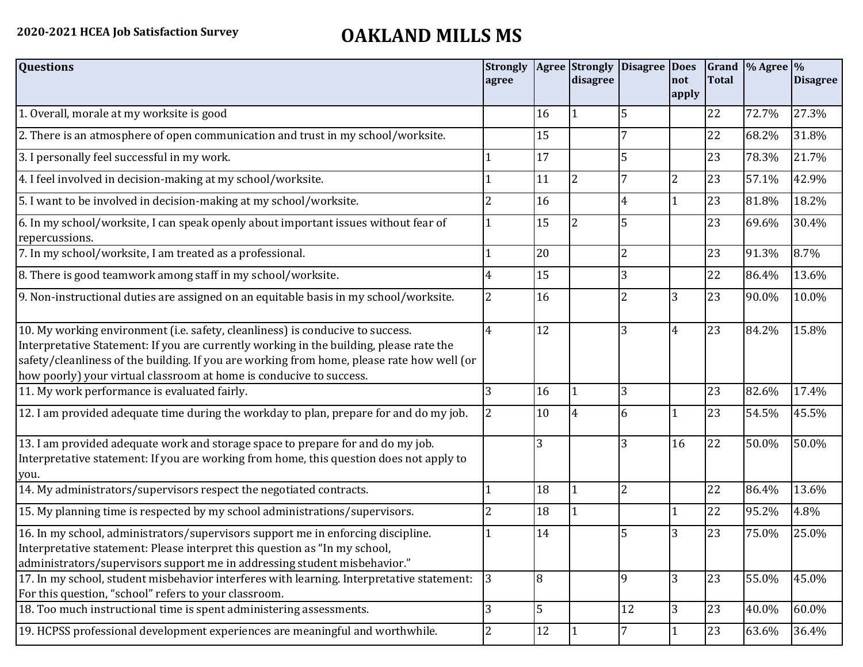## **2020-2021 HCEA Job Satisfaction Survey OAKLAND MILLS MS**

| <b>Questions</b>                                                                                                                                                                                                                                                                                                                               | <b>Strongly</b><br>agree |    | <b>Agree Strongly</b><br>disagree | Disagree Does  | not<br>apply   | <b>Total</b> | Grand % Agree % | <b>Disagree</b> |
|------------------------------------------------------------------------------------------------------------------------------------------------------------------------------------------------------------------------------------------------------------------------------------------------------------------------------------------------|--------------------------|----|-----------------------------------|----------------|----------------|--------------|-----------------|-----------------|
| 1. Overall, morale at my worksite is good                                                                                                                                                                                                                                                                                                      |                          | 16 |                                   |                |                | 22           | 72.7%           | 27.3%           |
| 2. There is an atmosphere of open communication and trust in my school/worksite.                                                                                                                                                                                                                                                               |                          | 15 |                                   |                |                | 22           | 68.2%           | 31.8%           |
| 3. I personally feel successful in my work.                                                                                                                                                                                                                                                                                                    |                          | 17 |                                   |                |                | 23           | 78.3%           | 21.7%           |
| 4. I feel involved in decision-making at my school/worksite.                                                                                                                                                                                                                                                                                   |                          | 11 | 2                                 |                | $\overline{2}$ | 23           | 57.1%           | 42.9%           |
| 5. I want to be involved in decision-making at my school/worksite.                                                                                                                                                                                                                                                                             | 2                        | 16 |                                   | $\overline{4}$ | $\overline{1}$ | 23           | 81.8%           | 18.2%           |
| 6. In my school/worksite, I can speak openly about important issues without fear of<br>repercussions.                                                                                                                                                                                                                                          |                          | 15 |                                   |                |                | 23           | 69.6%           | 30.4%           |
| 7. In my school/worksite, I am treated as a professional.                                                                                                                                                                                                                                                                                      |                          | 20 |                                   | $\overline{2}$ |                | 23           | 91.3%           | 8.7%            |
| 8. There is good teamwork among staff in my school/worksite.                                                                                                                                                                                                                                                                                   | 4                        | 15 |                                   | 3              |                | 22           | 86.4%           | 13.6%           |
| 9. Non-instructional duties are assigned on an equitable basis in my school/worksite.                                                                                                                                                                                                                                                          | 2                        | 16 |                                   | $\overline{2}$ | 3              | 23           | 90.0%           | 10.0%           |
| 10. My working environment (i.e. safety, cleanliness) is conducive to success.<br>Interpretative Statement: If you are currently working in the building, please rate the<br>safety/cleanliness of the building. If you are working from home, please rate how well (or<br>how poorly) your virtual classroom at home is conducive to success. | 4                        | 12 |                                   | 3              | $\overline{4}$ | 23           | 84.2%           | 15.8%           |
| 11. My work performance is evaluated fairly.                                                                                                                                                                                                                                                                                                   | 3                        | 16 |                                   | 3              |                | 23           | 82.6%           | 17.4%           |
| 12. I am provided adequate time during the workday to plan, prepare for and do my job.                                                                                                                                                                                                                                                         | 2                        | 10 |                                   | 6              | 1              | 23           | 54.5%           | 45.5%           |
| 13. I am provided adequate work and storage space to prepare for and do my job.<br>Interpretative statement: If you are working from home, this question does not apply to<br>you.                                                                                                                                                             |                          | 3  |                                   | 3              | 16             | 22           | 50.0%           | 50.0%           |
| 14. My administrators/supervisors respect the negotiated contracts.                                                                                                                                                                                                                                                                            |                          | 18 |                                   | $\overline{2}$ |                | 22           | 86.4%           | 13.6%           |
| 15. My planning time is respected by my school administrations/supervisors.                                                                                                                                                                                                                                                                    | 2                        | 18 |                                   |                | 1              | 22           | 95.2%           | 4.8%            |
| 16. In my school, administrators/supervisors support me in enforcing discipline.<br>Interpretative statement: Please interpret this question as "In my school,<br>administrators/supervisors support me in addressing student misbehavior."                                                                                                    |                          | 14 |                                   | 5              | 3              | 23           | 75.0%           | 25.0%           |
| 17. In my school, student misbehavior interferes with learning. Interpretative statement:<br>For this question, "school" refers to your classroom.                                                                                                                                                                                             | 3                        | 8  |                                   | q              | 3              | 23           | 55.0%           | 45.0%           |
| 18. Too much instructional time is spent administering assessments.                                                                                                                                                                                                                                                                            | 3                        | 5  |                                   | 12             | 3              | 23           | 40.0%           | 60.0%           |
| 19. HCPSS professional development experiences are meaningful and worthwhile.                                                                                                                                                                                                                                                                  | 2                        | 12 |                                   |                |                | 23           | 63.6%           | 36.4%           |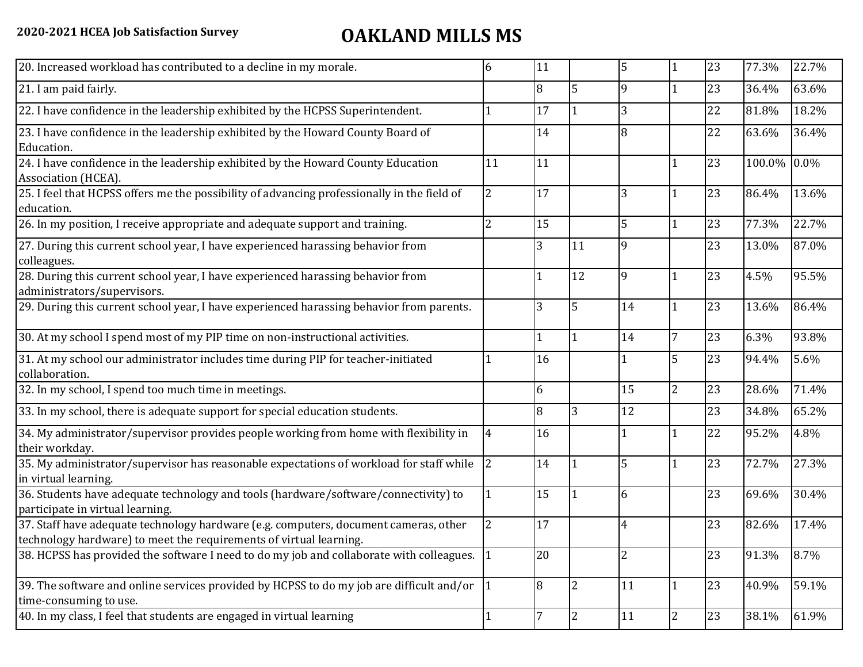## **2020-2021 HCEA Job Satisfaction Survey OAKLAND MILLS MS**

| 20. Increased workload has contributed to a decline in my morale.                                                                                          | 6              | 11 |                | 5              |                | 23 | 77.3%       | 22.7% |
|------------------------------------------------------------------------------------------------------------------------------------------------------------|----------------|----|----------------|----------------|----------------|----|-------------|-------|
| 21. I am paid fairly.                                                                                                                                      |                | 8  | 5              | $\mathbf{q}$   |                | 23 | 36.4%       | 63.6% |
| 22. I have confidence in the leadership exhibited by the HCPSS Superintendent.                                                                             |                | 17 |                | 3              |                | 22 | 81.8%       | 18.2% |
| 23. I have confidence in the leadership exhibited by the Howard County Board of<br>Education.                                                              |                | 14 |                | 8              |                | 22 | 63.6%       | 36.4% |
| 24. I have confidence in the leadership exhibited by the Howard County Education<br>Association (HCEA).                                                    | 11             | 11 |                |                |                | 23 | 100.0% 0.0% |       |
| 25. I feel that HCPSS offers me the possibility of advancing professionally in the field of<br>education.                                                  | $\overline{2}$ | 17 |                | 3              | $\mathbf 1$    | 23 | 86.4%       | 13.6% |
| 26. In my position, I receive appropriate and adequate support and training.                                                                               | 2              | 15 |                | 5              | $\mathbf{1}$   | 23 | 77.3%       | 22.7% |
| 27. During this current school year, I have experienced harassing behavior from<br>colleagues.                                                             |                | 3  | 11             | 9              |                | 23 | 13.0%       | 87.0% |
| 28. During this current school year, I have experienced harassing behavior from<br>administrators/supervisors.                                             |                |    | 12             | 9              |                | 23 | 4.5%        | 95.5% |
| 29. During this current school year, I have experienced harassing behavior from parents.                                                                   |                | 3  | 5              | 14             |                | 23 | 13.6%       | 86.4% |
| 30. At my school I spend most of my PIP time on non-instructional activities.                                                                              |                |    |                | 14             | $\overline{7}$ | 23 | 6.3%        | 93.8% |
| 31. At my school our administrator includes time during PIP for teacher-initiated<br>collaboration.                                                        |                | 16 |                |                | 5              | 23 | 94.4%       | 5.6%  |
| 32. In my school, I spend too much time in meetings.                                                                                                       |                | 6  |                | 15             | $\overline{2}$ | 23 | 28.6%       | 71.4% |
| 33. In my school, there is adequate support for special education students.                                                                                |                | 8  | 3              | 12             |                | 23 | 34.8%       | 65.2% |
| 34. My administrator/supervisor provides people working from home with flexibility in<br>their workday.                                                    | 4              | 16 |                |                |                | 22 | 95.2%       | 4.8%  |
| 35. My administrator/supervisor has reasonable expectations of workload for staff while<br>in virtual learning.                                            | $\overline{2}$ | 14 |                | 5              |                | 23 | 72.7%       | 27.3% |
| 36. Students have adequate technology and tools (hardware/software/connectivity) to<br>participate in virtual learning.                                    |                | 15 |                | 6              |                | 23 | 69.6%       | 30.4% |
| 37. Staff have adequate technology hardware (e.g. computers, document cameras, other<br>technology hardware) to meet the requirements of virtual learning. | $\overline{2}$ | 17 |                | $\overline{4}$ |                | 23 | 82.6%       | 17.4% |
| 38. HCPSS has provided the software I need to do my job and collaborate with colleagues. 1                                                                 |                | 20 |                | $\overline{2}$ |                | 23 | 91.3%       | 8.7%  |
| 39. The software and online services provided by HCPSS to do my job are difficult and/or $\left  \right $ 1<br>time-consuming to use.                      |                | 8  | $\overline{2}$ | 11             | $\mathbf{1}$   | 23 | 40.9%       | 59.1% |
| 40. In my class, I feel that students are engaged in virtual learning                                                                                      |                | 7  | 2              | 11             | $\overline{2}$ | 23 | 38.1%       | 61.9% |
|                                                                                                                                                            |                |    |                |                |                |    |             |       |